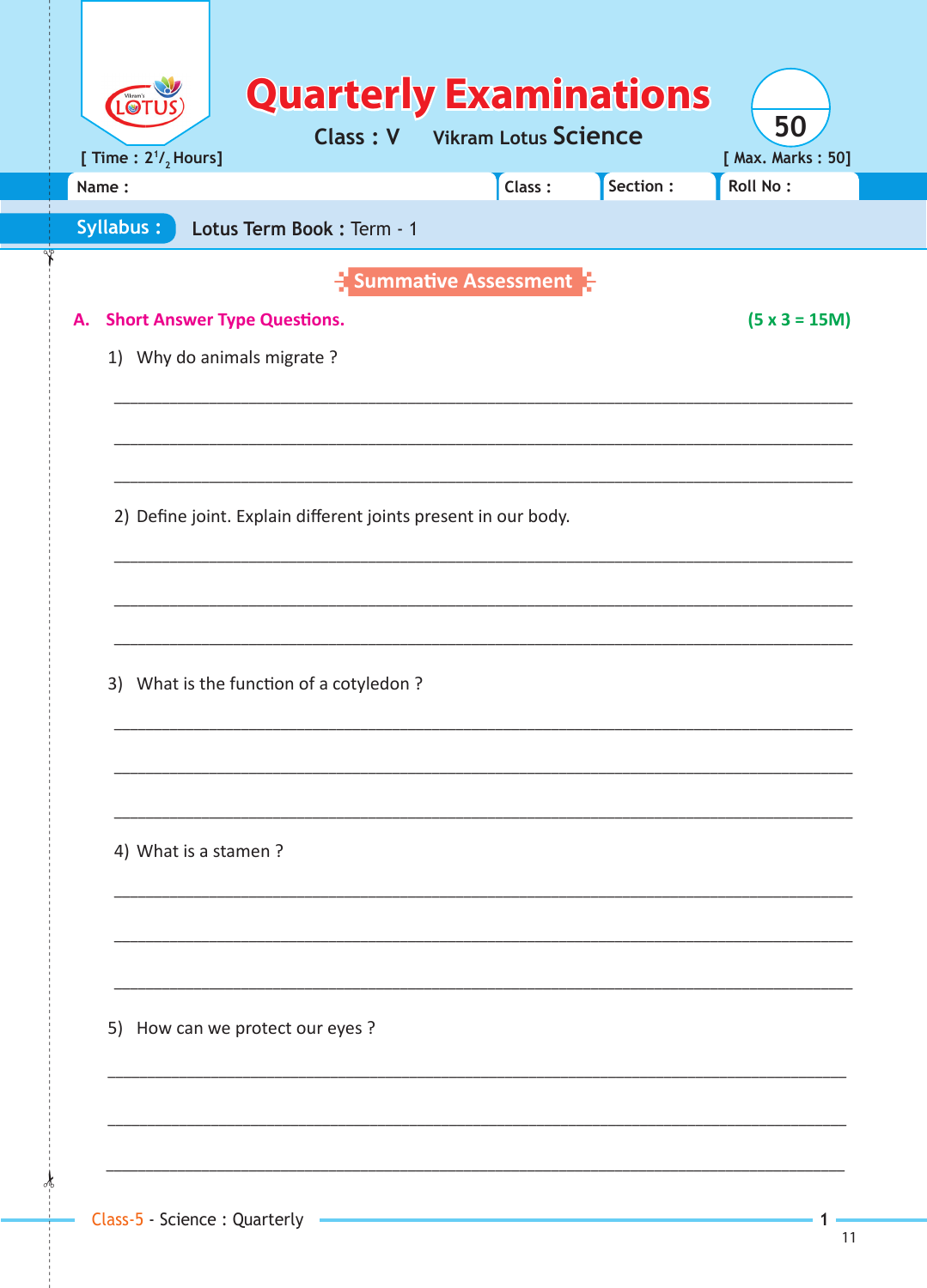| LO<br>[ Time : $2^{1}/_{2}$ Hours]        | <b>Quarterly Examinations</b><br><b>Class: V</b> Vikram Lotus Science |        |           | 50<br>[ Max. Marks: 50] |
|-------------------------------------------|-----------------------------------------------------------------------|--------|-----------|-------------------------|
| Name:                                     |                                                                       | Class: | Section : | Roll No:                |
| Syllabus:                                 | Lotus Term Book: Term - 1                                             |        |           |                         |
|                                           | <b>E</b> Summative Assessment                                         |        |           |                         |
| <b>Short Answer Type Questions.</b><br>А. |                                                                       |        |           | $(5 x 3 = 15M)$         |
| 1) Why do animals migrate?                |                                                                       |        |           |                         |
|                                           |                                                                       |        |           |                         |
|                                           |                                                                       |        |           |                         |
|                                           |                                                                       |        |           |                         |
|                                           | 2) Define joint. Explain different joints present in our body.        |        |           |                         |
|                                           |                                                                       |        |           |                         |
|                                           |                                                                       |        |           |                         |
|                                           |                                                                       |        |           |                         |
|                                           | 3) What is the function of a cotyledon?                               |        |           |                         |
|                                           |                                                                       |        |           |                         |
|                                           |                                                                       |        |           |                         |
| 4) What is a stamen?                      |                                                                       |        |           |                         |
|                                           |                                                                       |        |           |                         |
|                                           |                                                                       |        |           |                         |
|                                           |                                                                       |        |           |                         |
| 5) How can we protect our eyes ?          |                                                                       |        |           |                         |
|                                           |                                                                       |        |           |                         |
|                                           |                                                                       |        |           |                         |
|                                           |                                                                       |        |           |                         |
|                                           |                                                                       |        |           |                         |

 $\mathbf{1}$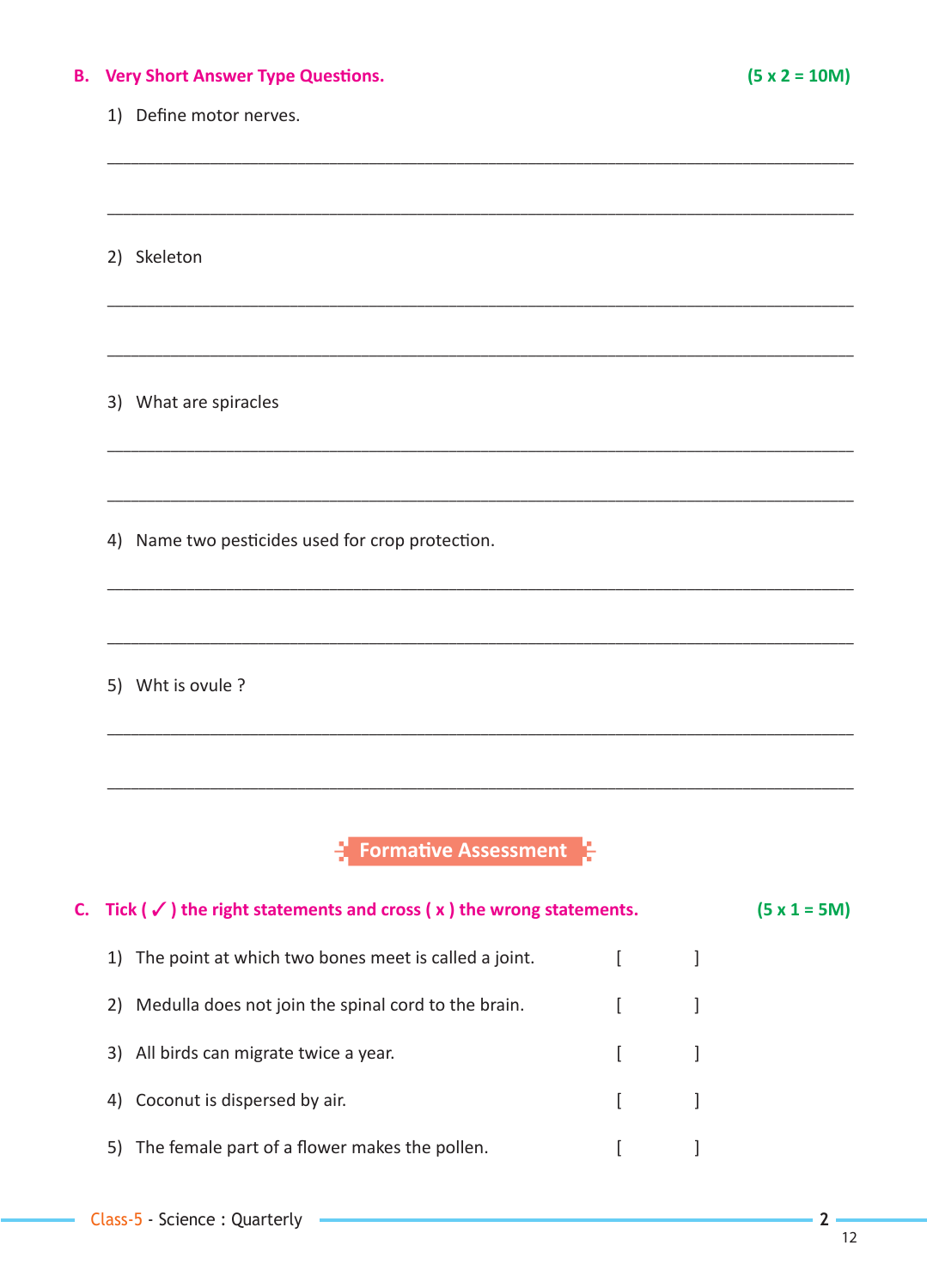### **B.** Very Short Answer Type Questions.

#### 1) Define motor nerves.

2) Skeleton

3) What are spiracles

4) Name two pesticides used for crop protection.

5) Wht is ovule ?

 $\frac{1}{2}$  Formative Assessment

| C. Tick ( $\checkmark$ ) the right statements and cross ( $x$ ) the wrong statements. | $(5 \times 1 = 5M)$ |  |
|---------------------------------------------------------------------------------------|---------------------|--|
| 1) The point at which two bones meet is called a joint.                               |                     |  |
| 2) Medulla does not join the spinal cord to the brain.                                |                     |  |
| 3) All birds can migrate twice a year.                                                |                     |  |
| 4) Coconut is dispersed by air.                                                       |                     |  |
| 5) The female part of a flower makes the pollen.                                      |                     |  |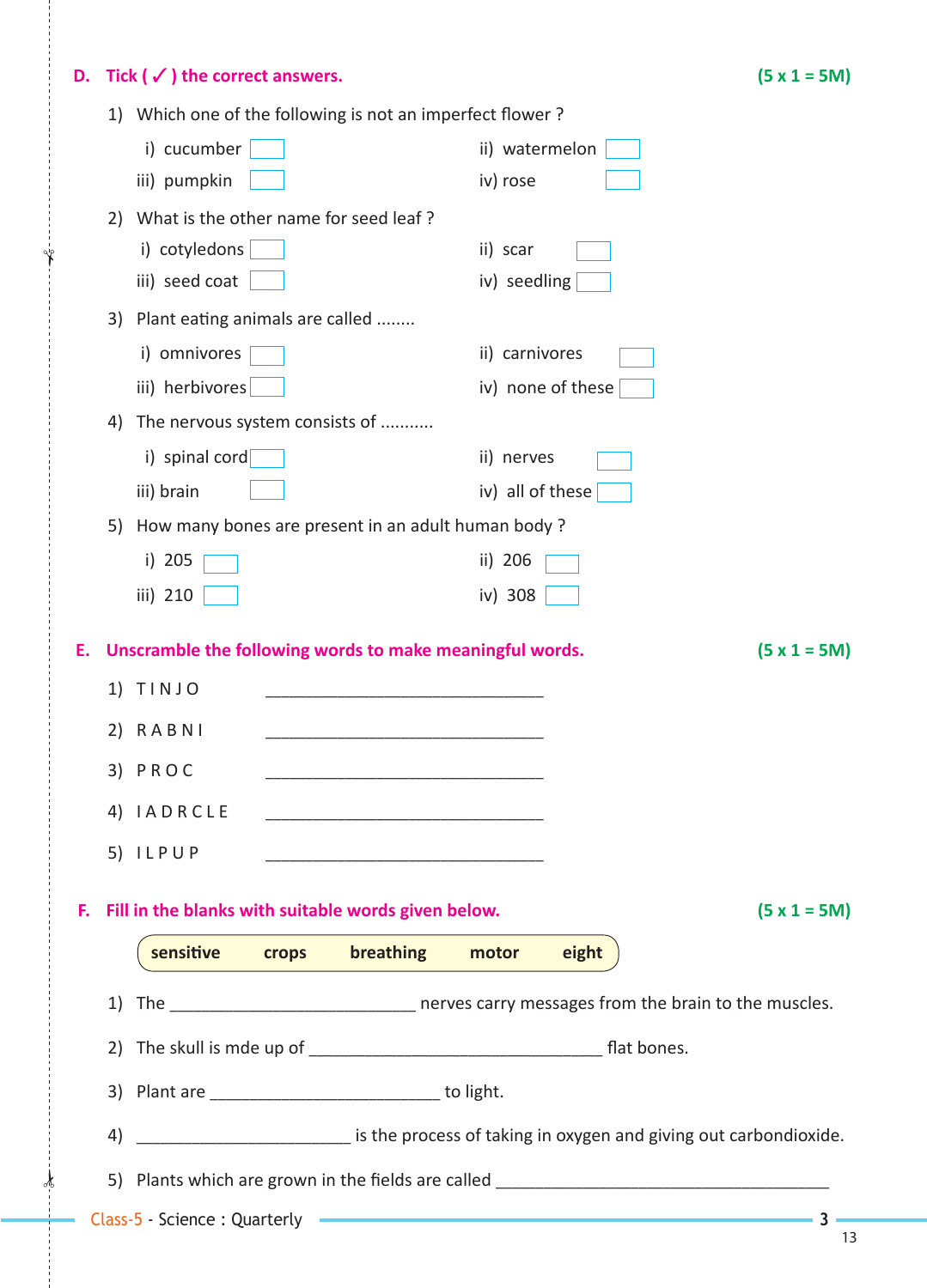# **D. Tick (** $\checkmark$ **) the correct answers.** (5 x 1 = 5M)

 $\frac{1}{2}$ 

✁

|  | 1) Which one of the following is not an imperfect flower? |  |
|--|-----------------------------------------------------------|--|
|--|-----------------------------------------------------------|--|

|    |          | writer one or the following is not an imperfect hower:       |                   |           |                |                             |                                                                                              |
|----|----------|--------------------------------------------------------------|-------------------|-----------|----------------|-----------------------------|----------------------------------------------------------------------------------------------|
|    |          | i) cucumber                                                  |                   |           |                | ii) watermelon              |                                                                                              |
|    |          | iii) pumpkin                                                 |                   |           | iv) rose       |                             |                                                                                              |
|    | 2)       | What is the other name for seed leaf?                        |                   |           |                |                             |                                                                                              |
|    |          | i) cotyledons                                                |                   |           | ii) scar       |                             |                                                                                              |
|    |          | iii) seed coat                                               |                   |           | iv) seedling   |                             |                                                                                              |
|    | 3)       | Plant eating animals are called                              |                   |           |                |                             |                                                                                              |
|    |          | i) omnivores                                                 |                   |           | ii) carnivores |                             |                                                                                              |
|    |          | iii) herbivores                                              |                   |           |                | iv) none of these           |                                                                                              |
|    | 4)       | The nervous system consists of                               |                   |           |                |                             |                                                                                              |
|    |          | i) spinal cord                                               |                   |           | ii) nerves     |                             |                                                                                              |
|    |          | iii) brain                                                   |                   |           |                | iv) all of these $\sqrt{ }$ |                                                                                              |
|    | 5)       | How many bones are present in an adult human body?           |                   |           |                |                             |                                                                                              |
|    |          | i) 205                                                       |                   |           | ii) 206        |                             |                                                                                              |
|    |          | iii) 210                                                     |                   |           | iv) 308        |                             |                                                                                              |
|    | 2)<br>4) | $1)$ TINJO<br>RABNI<br>3) PROC<br><b>IADRCLE</b><br>5) ILPUP |                   |           |                |                             |                                                                                              |
| F. |          | Fill in the blanks with suitable words given below.          |                   |           |                |                             | $(5 x 1 = 5M)$                                                                               |
|    |          | sensitive                                                    | <b>Example 19</b> | breathing | motor          | eight                       |                                                                                              |
|    | 1)       |                                                              |                   |           |                |                             | The ___________________________________ nerves carry messages from the brain to the muscles. |
|    |          |                                                              |                   |           |                |                             |                                                                                              |
|    |          | 3) Plant are ______________________________ to light.        |                   |           |                |                             |                                                                                              |
|    | 4)       |                                                              |                   |           |                |                             | is the process of taking in oxygen and giving out carbondioxide.                             |
|    |          |                                                              |                   |           |                |                             |                                                                                              |
|    |          |                                                              |                   |           |                |                             |                                                                                              |